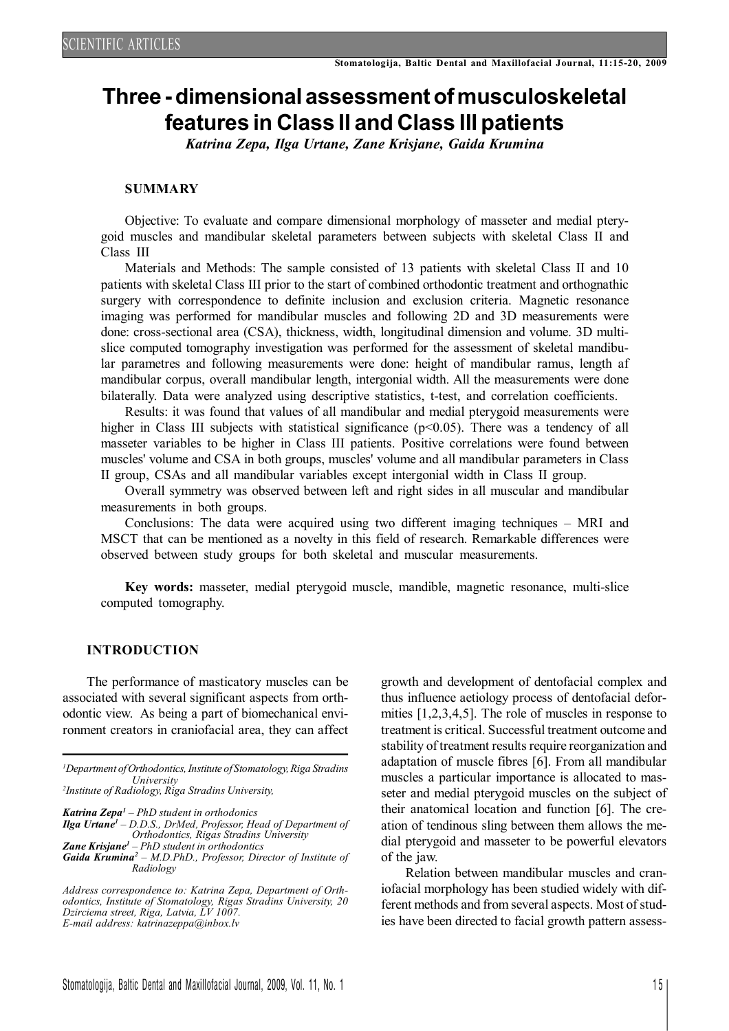# **Three-dimensional assessmentofmusculoskeletal features in Class II and Class III patients**

*Katrina Zepa, Ilga Urtane, Zane Krisjane, Gaida Krumina*

## **SUMMARY**

Objective: To evaluate and compare dimensional morphology of masseter and medial pterygoid muscles and mandibular skeletal parameters between subjects with skeletal Class II and Class III

Materials and Methods: The sample consisted of 13 patients with skeletal Class II and 10 patients with skeletal Class III prior to the start of combined orthodontic treatment and orthognathic surgery with correspondence to definite inclusion and exclusion criteria. Magnetic resonance imaging was performed for mandibular muscles and following 2D and 3D measurements were done: cross-sectional area (CSA), thickness, width, longitudinal dimension and volume. 3D multislice computed tomography investigation was performed for the assessment of skeletal mandibular parametres and following measurements were done: height of mandibular ramus, length af mandibular corpus, overall mandibular length, intergonial width. All the measurements were done bilaterally. Data were analyzed using descriptive statistics, t-test, and correlation coefficients.

Results: it was found that values of all mandibular and medial pterygoid measurements were higher in Class III subjects with statistical significance  $(p<0.05)$ . There was a tendency of all masseter variables to be higher in Class III patients. Positive correlations were found between muscles' volume and CSA in both groups, muscles' volume and all mandibular parameters in Class II group, CSAs and all mandibular variables except intergonial width in Class II group.

Overall symmetry was observed between left and right sides in all muscular and mandibular measurements in both groups.

Conclusions: The data were acquired using two different imaging techniques – MRI and MSCT that can be mentioned as a novelty in this field of research. Remarkable differences were observed between study groups for both skeletal and muscular measurements.

**Key words:** masseter, medial pterygoid muscle, mandible, magnetic resonance, multi-slice computed tomography.

## **INTRODUCTION**

The performance of masticatory muscles can be associated with several significant aspects from orthodontic view. As being a part of biomechanical environment creators in craniofacial area, they can affect

*<sup>1</sup>Department ofOrthodontics,Institute of Stomatology,Riga Stradins University*

*2 Institute of Radiology, Riga Stradins University,*

*Katrina Zepa<sup>1</sup> – PhD student in orthodonics Ilga Urtane<sup>1</sup> – D.D.S., DrMed, Professor, Head of Department of Orthodontics, Rigas Stradins University*

*Zane Krisjane<sup>1</sup> – PhD student in orthodontics Gaida Krumina<sup>2</sup> – M.D.PhD., Professor, Director of Institute of Radiology*

*Address correspondence to: Katrina Zepa, Department of Orthodontics, Institute of Stomatology, Rigas Stradins University, 20 Dzirciema street, Riga, Latvia, LV 1007. E-mail address: katrinazeppa@inbox.lv*

growth and development of dentofacial complex and thus influence aetiology process of dentofacial deformities [1,2,3,4,5]. The role of muscles in response to treatment is critical. Successful treatment outcome and stability of treatment results require reorganization and adaptation of muscle fibres [6]. From all mandibular muscles a particular importance is allocated to masseter and medial pterygoid muscles on the subject of their anatomical location and function [6]. The creation of tendinous sling between them allows the medial pterygoid and masseter to be powerful elevators of the jaw.

Relation between mandibular muscles and craniofacial morphology has been studied widely with different methods and from several aspects. Most of studies have been directed to facial growth pattern assess-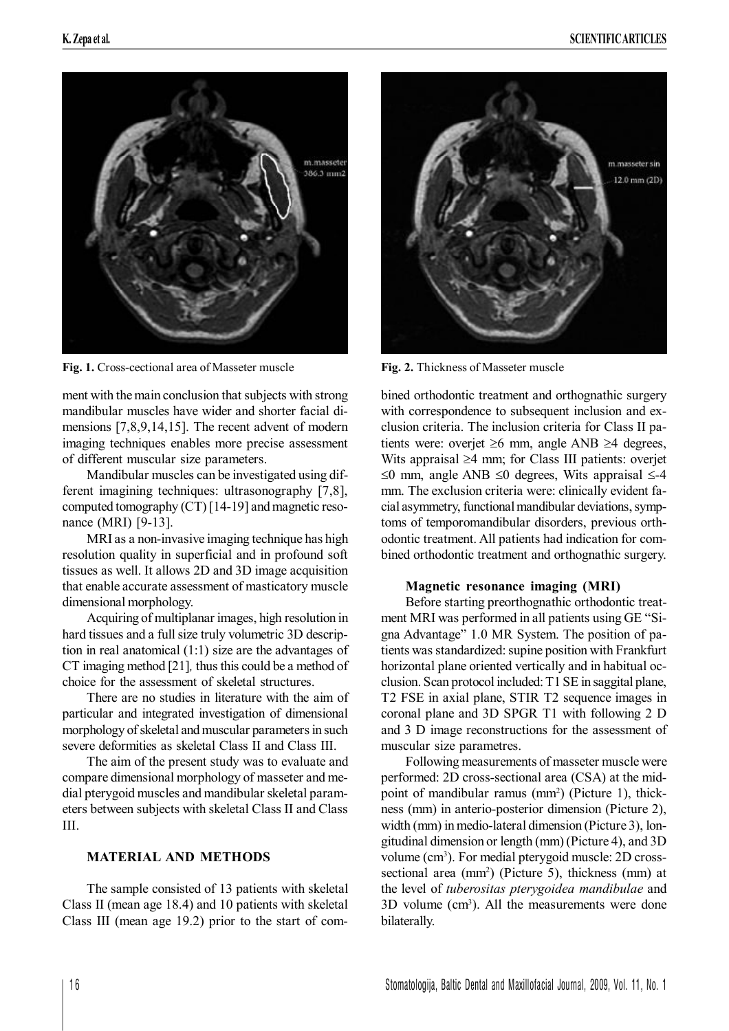

**Fig.** 1. Cross-cectional area of Masseter muscle **Fig.** 2. Thickness of Masseter muscle

ment with the main conclusion that subjects with strong mandibular muscles have wider and shorter facial dimensions [7,8,9,14,15]. The recent advent of modern imaging techniques enables more precise assessment of different muscular size parameters.

Mandibular muscles can be investigated using different imagining techniques: ultrasonography [7,8], computed tomography  $(CT)$  [14-19] and magnetic resonance (MRI) [9-13].

MRI as a non-invasive imaging technique has high resolution quality in superficial and in profound soft tissues as well. It allows 2D and 3D image acquisition that enable accurate assessment of masticatory muscle dimensional morphology.

Acquiring of multiplanar images, high resolution in hard tissues and a full size truly volumetric 3D description in real anatomical (1:1) size are the advantages of CT imaging method [21]*,* thus this could be a method of choice for the assessment of skeletal structures.

There are no studies in literature with the aim of particular and integrated investigation of dimensional morphology of skeletal and muscular parameters in such severe deformities as skeletal Class II and Class III.

The aim of the present study was to evaluate and compare dimensional morphology of masseter and medial pterygoid muscles and mandibular skeletal parameters between subjects with skeletal Class II and Class III.

# **MATERIAL AND METHODS**

The sample consisted of 13 patients with skeletal Class II (mean age 18.4) and 10 patients with skeletal Class III (mean age 19.2) prior to the start of com-



bined orthodontic treatment and orthognathic surgery with correspondence to subsequent inclusion and exclusion criteria. The inclusion criteria for Class II patients were: overjet  $\geq 6$  mm, angle ANB  $\geq 4$  degrees, Wits appraisal  $\geq 4$  mm; for Class III patients: overjet  $\leq$ 0 mm, angle ANB  $\leq$ 0 degrees, Wits appraisal  $\leq$ -4 mm. The exclusion criteria were: clinically evident facial asymmetry, functional mandibular deviations, symptoms of temporomandibular disorders, previous orthodontic treatment. All patients had indication for combined orthodontic treatment and orthognathic surgery.

# **Magnetic resonance imaging (MRI)**

Before starting preorthognathic orthodontic treatment MRI was performed in all patients using GE "Signa Advantage" 1.0 MR System. The position of patients was standardized: supine position with Frankfurt horizontal plane oriented vertically and in habitual occlusion. Scan protocol included: T1 SE in saggital plane, T2 FSE in axial plane, STIR T2 sequence images in coronal plane and 3D SPGR T1 with following 2 D and 3 D image reconstructions for the assessment of muscular size parametres.

Following measurements of masseter muscle were performed: 2D cross-sectional area (CSA) at the midpoint of mandibular ramus (mm<sup>2</sup>) (Picture 1), thickness (mm) in anterio-posterior dimension (Picture 2), width (mm) in medio-lateral dimension (Picture 3), longitudinal dimension or length (mm) (Picture 4), and 3D volume (cm<sup>3</sup>). For medial pterygoid muscle: 2D crosssectional area (mm<sup>2</sup>) (Picture 5), thickness (mm) at the level of *tuberositas pterygoidea mandibulae* and 3D volume (cm<sup>3</sup>). All the measurements were done bilaterally.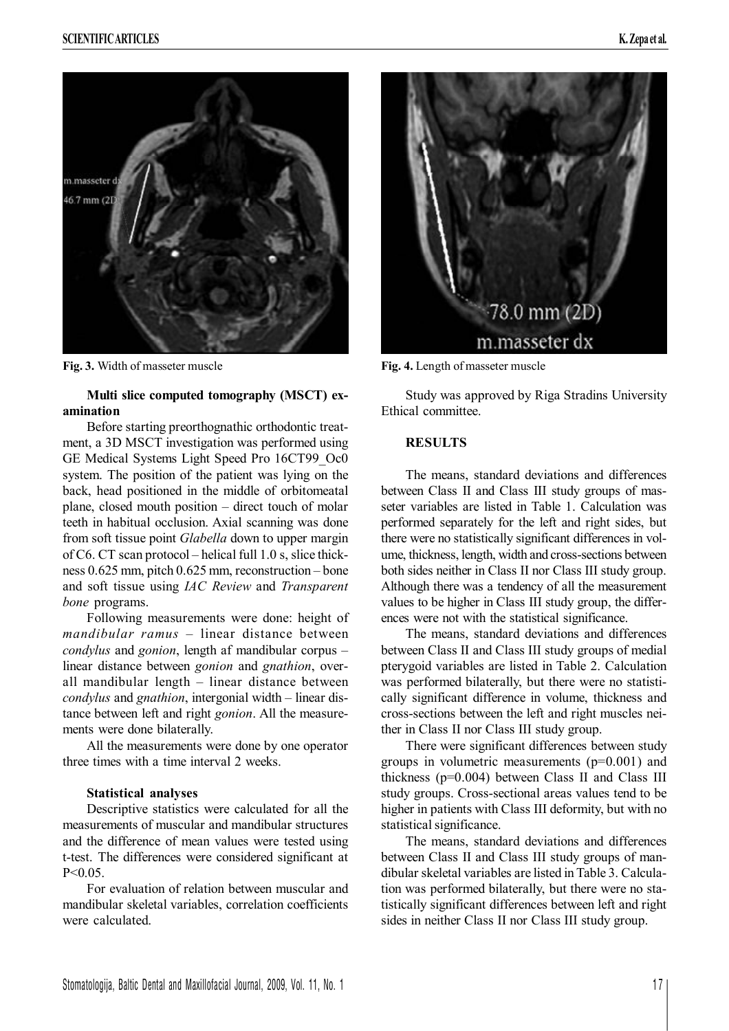

**Fig. 3.** Width of masseter muscle **Fig. 4.** Length of masseter muscle

# **Multi slice computed tomography (MSCT) examination**

Before starting preorthognathic orthodontic treatment, a 3D MSCT investigation was performed using GE Medical Systems Light Speed Pro 16CT99\_Oc0 system. The position of the patient was lying on the back, head positioned in the middle of orbitomeatal plane, closed mouth position – direct touch of molar teeth in habitual occlusion. Axial scanning was done from soft tissue point *Glabella* down to upper margin of C6. CT scan protocol – helical full 1.0 s, slice thickness 0.625 mm, pitch 0.625 mm, reconstruction – bone and soft tissue using *IAC Review* and *Transparent bone* programs.

Following measurements were done: height of *mandibular ramus* – linear distance between *condylus* and *gonion*, length af mandibular corpus – linear distance between *gonion* and *gnathion*, overall mandibular length – linear distance between *condylus* and *gnathion*, intergonial width – linear distance between left and right *gonion*. All the measurements were done bilaterally.

All the measurements were done by one operator three times with a time interval 2 weeks.

#### **Statistical analyses**

Descriptive statistics were calculated for all the measurements of muscular and mandibular structures and the difference of mean values were tested using t-test. The differences were considered significant at  $P < 0.05$ 

For evaluation of relation between muscular and mandibular skeletal variables, correlation coefficients were calculated.



Study was approved by Riga Stradins University Ethical committee.

#### **RESULTS**

The means, standard deviations and differences between Class II and Class III study groups of masseter variables are listed in Table 1. Calculation was performed separately for the left and right sides, but there were no statistically significant differences in volume, thickness, length, width and cross-sections between both sides neither in Class II nor Class III study group. Although there was a tendency of all the measurement values to be higher in Class III study group, the differences were not with the statistical significance.

The means, standard deviations and differences between Class II and Class III study groups of medial pterygoid variables are listed in Table 2. Calculation was performed bilaterally, but there were no statistically significant difference in volume, thickness and cross-sections between the left and right muscles neither in Class II nor Class III study group.

There were significant differences between study groups in volumetric measurements (p=0.001) and thickness (p=0.004) between Class II and Class III study groups. Cross-sectional areas values tend to be higher in patients with Class III deformity, but with no statistical significance.

The means, standard deviations and differences between Class II and Class III study groups of mandibular skeletal variables are listed inTable 3. Calculation was performed bilaterally, but there were no statistically significant differences between left and right sides in neither Class II nor Class III study group.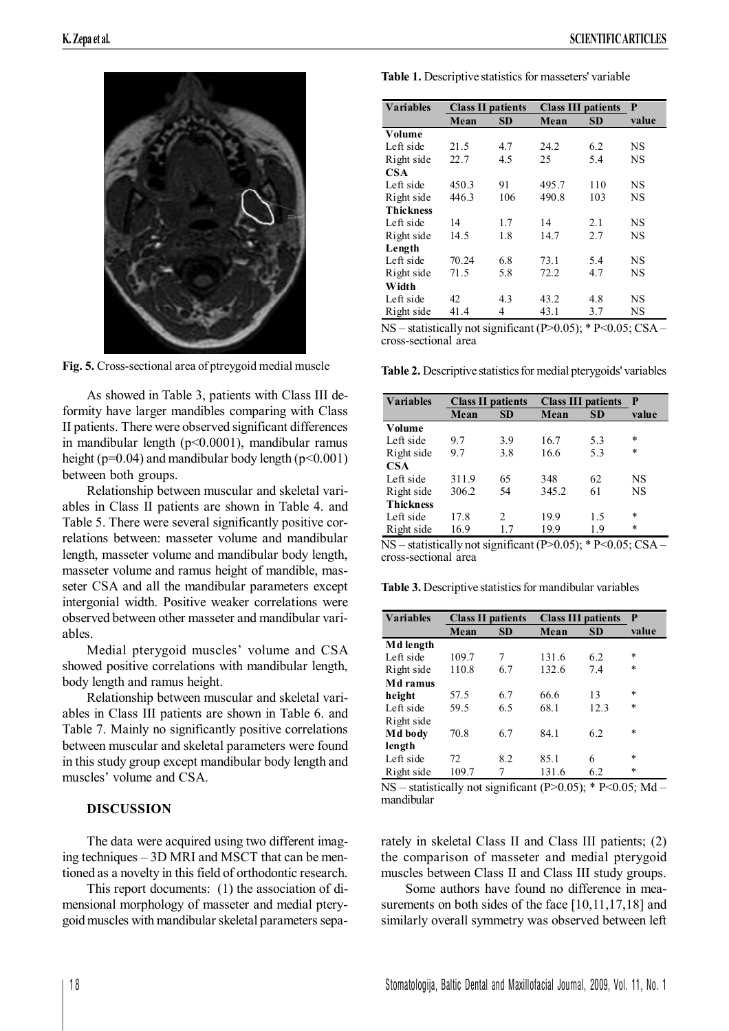

**Fig. 5.** Cross-sectional area of ptreygoid medial muscle

As showed in Table 3, patients with Class III deformity have larger mandibles comparing with Class II patients. There were observed significant differences in mandibular length (p<0.0001), mandibular ramus height ( $p=0.04$ ) and mandibular body length ( $p<0.001$ ) between both groups.

Relationship between muscular and skeletal variables in Class II patients are shown in Table 4. and Table 5. There were several significantly positive correlations between: masseter volume and mandibular length, masseter volume and mandibular body length, masseter volume and ramus height of mandible, masseter CSA and all the mandibular parameters except intergonial width. Positive weaker correlations were observed between other masseter and mandibular variables.

Medial pterygoid muscles' volume and CSA showed positive correlations with mandibular length, body length and ramus height.

Relationship between muscular and skeletal variables in Class III patients are shown in Table 6. and Table 7. Mainly no significantly positive correlations between muscular and skeletal parameters were found in this study group except mandibular body length and muscles' volume and CSA.

# **DISCUSSION**

The data were acquired using two different imaging techniques – 3D MRI and MSCT that can be mentioned as a novelty in this field of orthodontic research.

This report documents: (1) the association of dimensional morphology of masseter and medial pterygoidmuscles with mandibularskeletal parameters sepa**Table 1.** Descriptive statistics for masseters' variable

| <b>Variables</b> | <b>Class II patients</b> |     | <b>Class III patients</b> |           | P         |
|------------------|--------------------------|-----|---------------------------|-----------|-----------|
|                  | Mean                     | SD  | Mean                      | <b>SD</b> | value     |
| Volume           |                          |     |                           |           |           |
| Left side        | 21.5                     | 4.7 | 24.2                      | 6.2       | NS        |
| Right side       | 22.7                     | 4.5 | 25                        | 5.4       | NS        |
| <b>CSA</b>       |                          |     |                           |           |           |
| Left side        | 450.3                    | 91  | 495.7                     | 110       | NS        |
| Right side       | 446.3                    | 106 | 490.8                     | 103       | <b>NS</b> |
| <b>Thickness</b> |                          |     |                           |           |           |
| Left side        | 14                       | 1.7 | 14                        | 2.1       | <b>NS</b> |
| Right side       | 14.5                     | 1.8 | 14.7                      | 2.7       | NS        |
| Length           |                          |     |                           |           |           |
| Left side        | 70.24                    | 6.8 | 73.1                      | 5.4       | NS        |
| Right side       | 71.5                     | 5.8 | 72.2                      | 4.7       | NS        |
| Width            |                          |     |                           |           |           |
| Left side        | 42                       | 4.3 | 43.2                      | 4.8       | NS        |
| Right side       | 41.4                     | 4   | 43.1                      | 3.7       | NS        |

 $NS$  – statistically not significant (P>0.05); \* P<0.05; CSA – cross-sectional area

Table 2. Descriptive statistics for medial pterygoids' variables

| <b>Variables</b> | <b>Class II patients</b> |           | <b>Class III patients</b> |           | P      |
|------------------|--------------------------|-----------|---------------------------|-----------|--------|
|                  | Mean                     | <b>SD</b> | Mean                      | <b>SD</b> | value  |
| Volume           |                          |           |                           |           |        |
| Left side        | 9.7                      | 3.9       | 16.7                      | 5.3       | *      |
| Right side       | 9.7                      | 3.8       | 16.6                      | 5.3       | $\ast$ |
| CSA              |                          |           |                           |           |        |
| Left side        | 311.9                    | 65        | 348                       | 62        | NS     |
| Right side       | 306.2                    | 54        | 345.2                     | 61        | NS     |
| <b>Thickness</b> |                          |           |                           |           |        |
| Left side        | 17.8                     | 2         | 19.9                      | 1.5       | $\ast$ |
| Right side       | 16.9                     | 17        | 19.9                      | 1.9       | *      |

 $NS -$  statistically not significant (P>0.05); \* P<0.05; CSA – cross-sectional area

**Table 3.** Descriptive statistics for mandibular variables

| <b>Variables</b> | <b>Class II patients</b> |           | <b>Class III patients</b> |           | P      |
|------------------|--------------------------|-----------|---------------------------|-----------|--------|
|                  | Mean                     | <b>SD</b> | Mean                      | <b>SD</b> | value  |
| Md length        |                          |           |                           |           |        |
| Left side        | 109.7                    | 7         | 131.6                     | 6.2       | $\ast$ |
| Right side       | 110.8                    | 6.7       | 132.6                     | 7.4       | $\ast$ |
| Md ramus         |                          |           |                           |           |        |
| height           | 57.5                     | 6.7       | 66.6                      | 13        | *      |
| Left side        | 59.5                     | 6.5       | 68.1                      | 12.3      | *      |
| Right side       |                          |           |                           |           |        |
| Md body          | 70.8                     | 6.7       | 84.1                      | 6.2       | *      |
| length           |                          |           |                           |           |        |
| Left side        | 72                       | 8.2       | 85.1                      | 6         | $\ast$ |
| Right side       | 109.7                    |           | 131.6                     | 6.2       | $\ast$ |

 $NS -$  statistically not significant (P>0.05); \* P<0.05; Md – mandibular

rately in skeletal Class II and Class III patients; (2) the comparison of masseter and medial pterygoid muscles between Class II and Class III study groups.

Some authors have found no difference in measurements on both sides of the face [10,11,17,18] and similarly overall symmetry was observed between left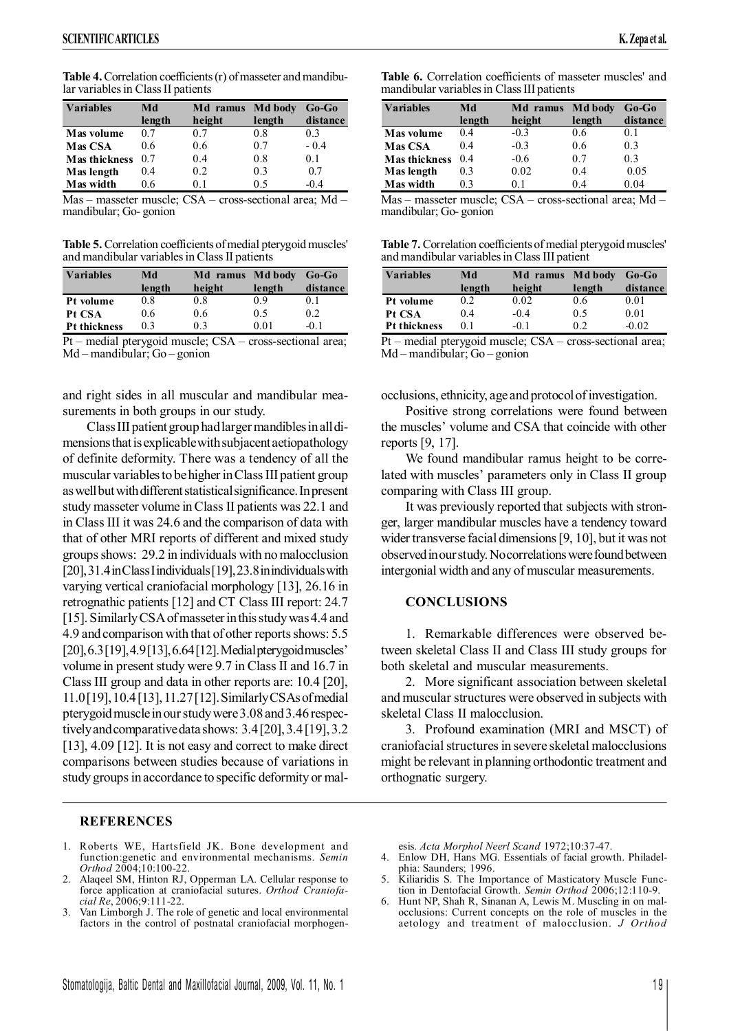**Table 4.** Correlation coefficients (r) of masseter and mandibular variables in Class II patients

| <b>Variables</b>     | Md     | Md ramus | Md body | $Go-Go$  |
|----------------------|--------|----------|---------|----------|
|                      | length | height   | length  | distance |
| Mas volume           | 0.7    | 07       | 0.8     | 03       |
| <b>Mas CSA</b>       | 06     | 0.6      | 07      | $-0.4$   |
| <b>Mas thickness</b> | 0.7    | 0.4      | 0.8     | 01       |
| Mas length           | 0.4    | 0.2      | 0.3     | 0.7      |
| Mas width            | 06     | 01       | 05      | .በ 4     |

Mas – masseter muscle; CSA – cross-sectional area; Md – mandibular; Go- gonion

**Table 5.** Correlation coefficients of medial pterygoid muscles' and mandibular variables in Class II patients

| <b>Variables</b>    | Md     | Md ramus Md body |        | $Go-Go$  |
|---------------------|--------|------------------|--------|----------|
|                     | length | height           | length | distance |
| Pt volume           | 0.8    | 0.8              | 09     | 01       |
| Pt CSA              | 0.6    | 0.6              | 0.5    | 0.2      |
| <b>Pt thickness</b> | 0.3    | 03               | 0.01   | -0.1     |

Pt – medial pterygoid muscle; CSA – cross-sectional area; Md – mandibular; Go – gonion

and right sides in all muscular and mandibular measurements in both groups in our study.

Class III patient group had larger mandibles in all dimensionsthatisexplicablewithsubjacent aetiopathology of definite deformity. There was a tendency of all the muscular variables to be higher in Class III patient group as well but with different statistical significance. In present study masseter volume inClass II patients was 22.1 and in Class III it was 24.6 and the comparison of data with that of other MRI reports of different and mixed study groups shows: 29.2 in individuals with no malocclusion [20],31.4inClassIindividuals[19],23.8inindividualswith varying vertical craniofacial morphology [13], 26.16 in retrognathic patients [12] and CT Class III report: 24.7 [15]. Similarly CSA of masseter in this study was 4.4 and 4.9 and comparison with that of other reports shows: 5.5 [20], 6.3<sup>[19]</sup>, 4.9<sup>[13]</sup>, 6.64<sup>[12]</sup>. Medial pterygoid muscles' volume in present study were 9.7 in Class II and 16.7 in Class III group and data in other reports are: 10.4 [20], 11.0[19],10.4[13],11.27[12].SimilarlyCSAsofmedial pterygoidmuscleinourstudywere3.08 and3.46 respectively and comparative data shows: 3.4[20], 3.4[19], 3.2 [13], 4.09 [12]. It is not easy and correct to make direct comparisons between studies because of variations in study groups in accordance to specific deformity or mal-

## **REFERENCES**

- 1. Roberts WE, Hartsfield JK. Bone development and function:genetic and environmental mechanisms. *Semin Orthod* 2004;10:100-22.
- 2. Alaqeel SM, Hinton RJ, Opperman LA. Cellular response to force application at craniofacial sutures. *Orthod Craniofacial Re*, 2006;9:111-22.
- Van Limborgh J. The role of genetic and local environmental factors in the control of postnatal craniofacial morphogen-

**Table 6.** Correlation coefficients of masseter muscles' and mandibular variables in Class III patients

| <b>Variables</b>     | Md     | Md ramus | Md body | $Go-Go$  |
|----------------------|--------|----------|---------|----------|
|                      | length | height   | length  | distance |
| Mas volume           | 0.4    | $-0.3$   | 0.6     | 0.1      |
| <b>Mas CSA</b>       | 0.4    | $-0.3$   | 0.6     | 0.3      |
| <b>Mas thickness</b> | 0.4    | $-0.6$   | 0.7     | 0.3      |
| Mas length           | 0.3    | 0.02     | 0.4     | 0.05     |
| Mas width            | 03     | 01       | 04      | 0.04     |
|                      |        |          |         |          |

Mas – masseter muscle; CSA – cross-sectional area; Md – mandibular; Go- gonion

| Table 7. Correlation coefficients of medial pterygoid muscles' |  |
|----------------------------------------------------------------|--|
| and mandibular variables in Class III patient                  |  |

| <b>Variables</b>    | Md     | Md ramus | Md body | $Go-Go$  |
|---------------------|--------|----------|---------|----------|
|                     | length | height   | length  | distance |
| Pt volume           | 0.2    | 0.02     | 0.6     | 0.01     |
| Pt CSA              | 0.4    | $-0.4$   | 0.5     | 0.01     |
| <b>Pt thickness</b> | 01     | $-01$    | 02      | $-0.02$  |

Pt – medial pterygoid muscle; CSA – cross-sectional area; Md – mandibular; Go – gonion

occlusions, ethnicity, age and protocol of investigation.

Positive strong correlations were found between the muscles' volume and CSA that coincide with other reports [9, 17].

We found mandibular ramus height to be correlated with muscles' parameters only in Class II group comparing with Class III group.

It was previously reported that subjects with stronger, larger mandibular muscles have a tendency toward wider transverse facial dimensions[9, 10], but it was not observedinourstudy.Nocorrelationswerefoundbetween intergonial width and any of muscular measurements.

## **CONCLUSIONS**

1. Remarkable differences were observed between skeletal Class II and Class III study groups for both skeletal and muscular measurements.

2. More significant association between skeletal and muscular structures were observed in subjects with skeletal Class II malocclusion.

3. Profound examination (MRI and MSCT) of craniofacial structures in severe skeletal malocclusions might be relevant in planning orthodontic treatment and orthognatic surgery.

esis. *Acta Morphol Neerl Scand* 1972;10:37-47.

- 4. Enlow DH, Hans MG. Essentials of facial growth. Philadelphia: Saunders; 1996.
- 5. Kiliaridis S. The Importance of Masticatory Muscle Function in Dentofacial Growth. *Semin Orthod* 2006;12:110-9.
- Hunt NP, Shah R, Sinanan A, Lewis M. Muscling in on malocclusions: Current concepts on the role of muscles in the aetology and treatment of malocclusion. *J Orthod*